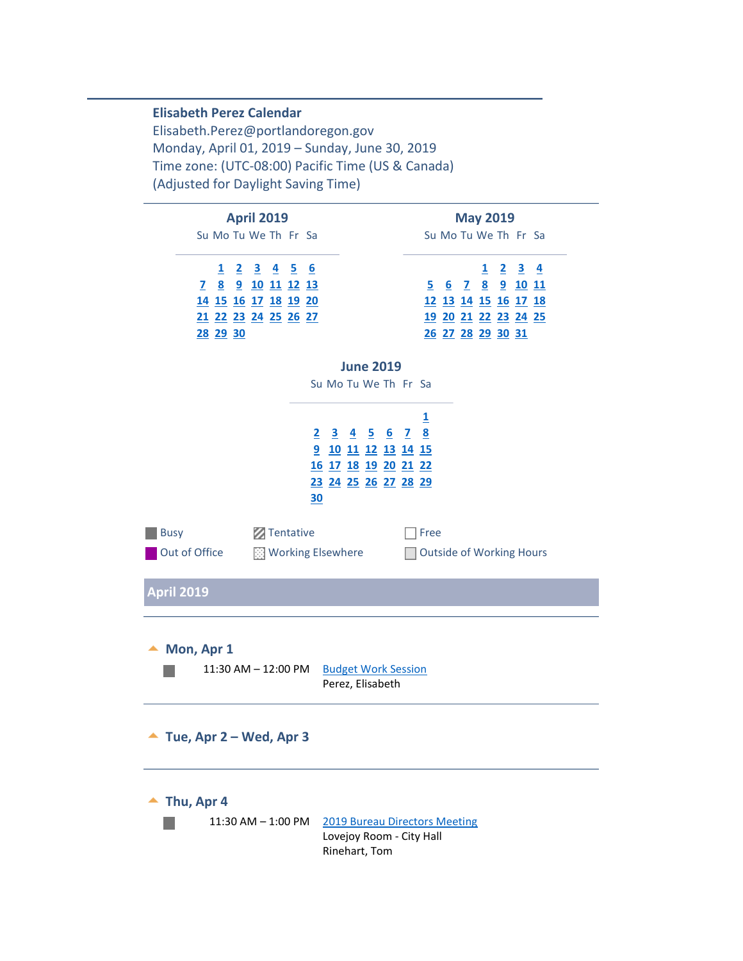#### **Elisabeth Perez Calendar**

Elisabeth.Perez@portlandoregon.gov Monday, April 01, 2019 – Sunday, June 30, 2019 Time zone: (UTC-08:00) Pacific Time (US & Canada) (Adjusted for Daylight Saving Time)

<span id="page-0-3"></span><span id="page-0-2"></span><span id="page-0-1"></span><span id="page-0-0"></span>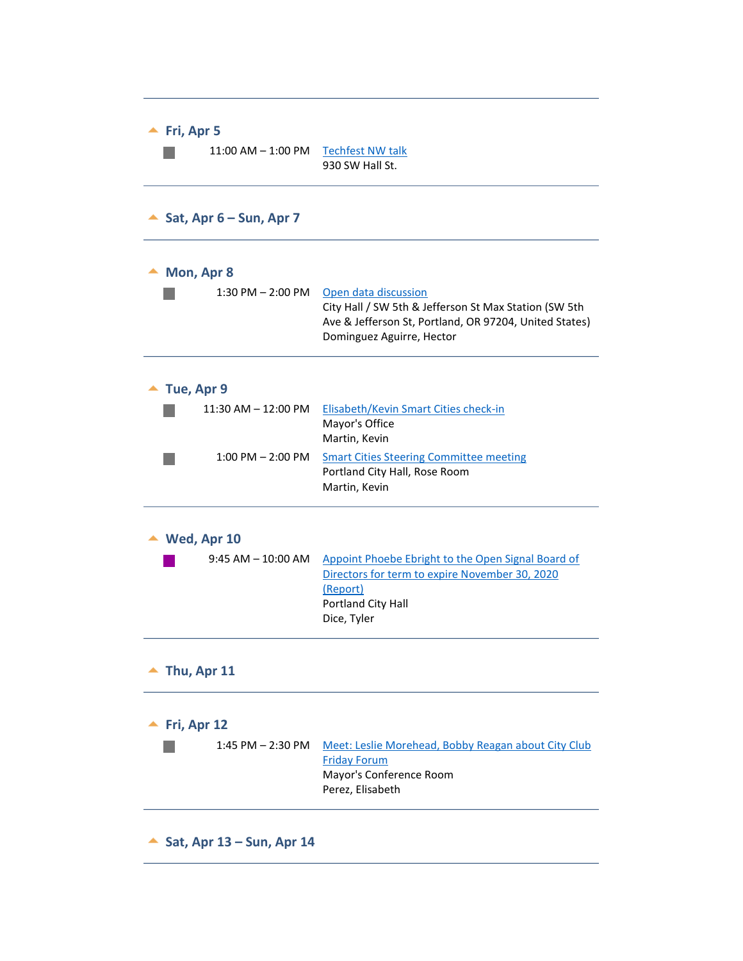<span id="page-1-4"></span><span id="page-1-3"></span><span id="page-1-2"></span><span id="page-1-1"></span><span id="page-1-0"></span>

| 11:00 AM - 1:00 PM Techfest NW talk<br>930 SW Hall St.                                                                                                                                        |
|-----------------------------------------------------------------------------------------------------------------------------------------------------------------------------------------------|
|                                                                                                                                                                                               |
|                                                                                                                                                                                               |
| $1:30$ PM $- 2:00$ PM<br>Open data discussion<br>City Hall / SW 5th & Jefferson St Max Station (SW 5th<br>Ave & Jefferson St, Portland, OR 97204, United States)<br>Dominguez Aguirre, Hector |
|                                                                                                                                                                                               |
| Elisabeth/Kevin Smart Cities check-in<br>Mayor's Office<br>Martin, Kevin                                                                                                                      |
| <b>Smart Cities Steering Committee meeting</b><br>Portland City Hall, Rose Room<br>Martin, Kevin                                                                                              |
|                                                                                                                                                                                               |
| Appoint Phoebe Ebright to the Open Signal Board of<br>Directors for term to expire November 30, 2020<br>(Report)<br>Portland City Hall<br>Dice, Tyler                                         |
|                                                                                                                                                                                               |
|                                                                                                                                                                                               |
| Meet: Leslie Morehead, Bobby Reagan about City Club<br><b>Friday Forum</b><br>Mayor's Conference Room<br>Perez, Elisabeth                                                                     |
|                                                                                                                                                                                               |

<span id="page-1-9"></span><span id="page-1-8"></span><span id="page-1-7"></span><span id="page-1-6"></span><span id="page-1-5"></span> $\overline{\phantom{0}}$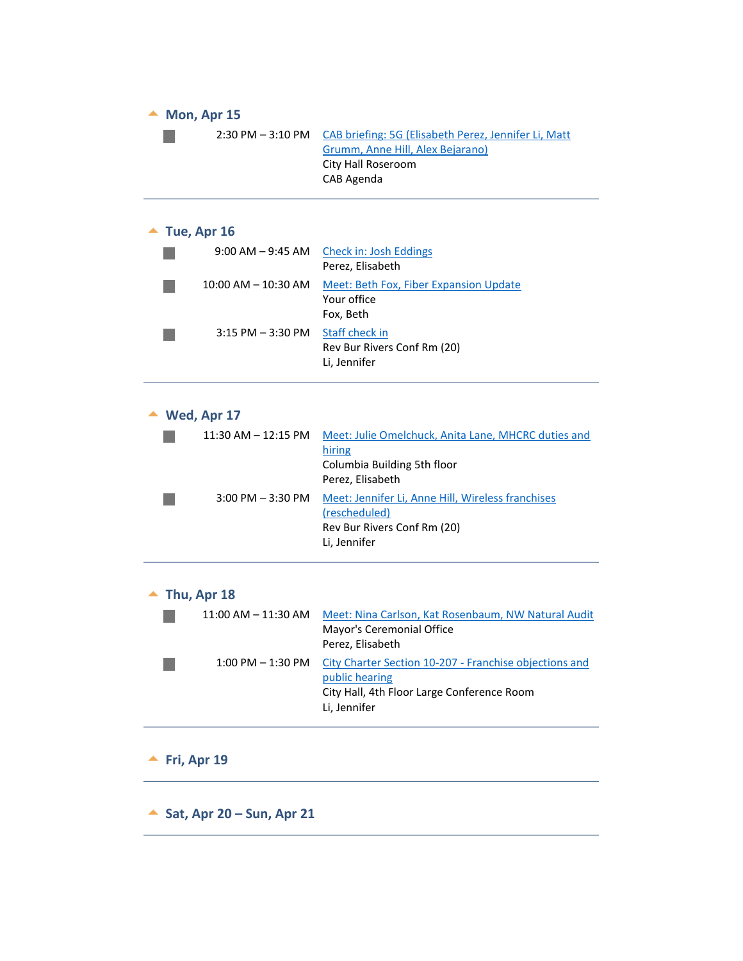<span id="page-2-2"></span><span id="page-2-1"></span><span id="page-2-0"></span>

| $\blacktriangle$ Mon, Apr 15 |                                                                                                                                        |  |
|------------------------------|----------------------------------------------------------------------------------------------------------------------------------------|--|
| $2:30$ PM $-3:10$ PM         | CAB briefing: 5G (Elisabeth Perez, Jennifer Li, Matt<br>Grumm, Anne Hill, Alex Bejarano)<br>City Hall Roseroom<br>CAB Agenda           |  |
|                              |                                                                                                                                        |  |
| $\blacktriangle$ Tue, Apr 16 |                                                                                                                                        |  |
| $9:00$ AM $-9:45$ AM         | Check in: Josh Eddings<br>Perez, Elisabeth                                                                                             |  |
| 10:00 AM – 10:30 AM          | Meet: Beth Fox, Fiber Expansion Update<br>Your office<br>Fox, Beth                                                                     |  |
| $3:15$ PM $-3:30$ PM         | <b>Staff check in</b><br>Rev Bur Rivers Conf Rm (20)<br>Li, Jennifer                                                                   |  |
| $\blacktriangle$ Wed, Apr 17 |                                                                                                                                        |  |
| $11:30$ AM $- 12:15$ PM      | Meet: Julie Omelchuck, Anita Lane, MHCRC duties and<br>hiring<br>Columbia Building 5th floor<br>Perez, Elisabeth                       |  |
| $3:00$ PM $-3:30$ PM         | Meet: Jennifer Li, Anne Hill, Wireless franchises<br>(rescheduled)<br>Rev Bur Rivers Conf Rm (20)<br>Li, Jennifer                      |  |
| Thu, Apr 18                  |                                                                                                                                        |  |
| $11:00$ AM $- 11:30$ AM      | Meet: Nina Carlson, Kat Rosenbaum, NW Natural Audit<br>Mayor's Ceremonial Office<br>Perez, Elisabeth                                   |  |
| $1:00$ PM $- 1:30$ PM        | City Charter Section 10-207 - Franchise objections and<br>public hearing<br>City Hall, 4th Floor Large Conference Room<br>Li, Jennifer |  |
| Fri, Apr 19                  |                                                                                                                                        |  |
| Sat, Apr 20 - Sun, Apr 21    |                                                                                                                                        |  |

<span id="page-2-6"></span><span id="page-2-5"></span><span id="page-2-4"></span><span id="page-2-3"></span> $\overline{\phantom{a}}$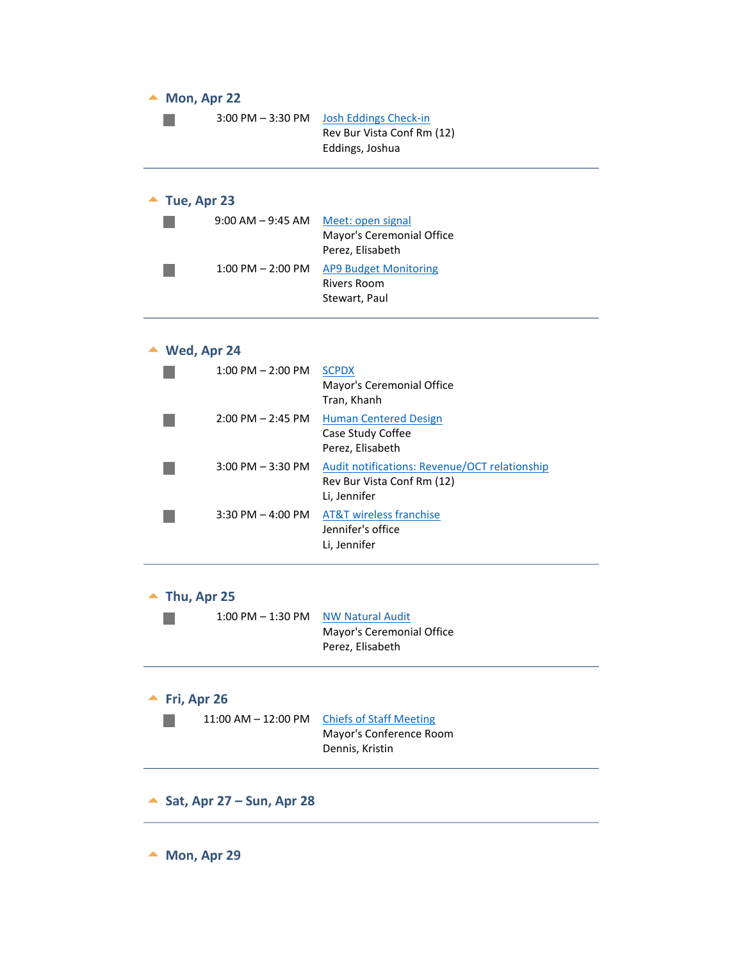<span id="page-3-7"></span><span id="page-3-6"></span><span id="page-3-5"></span><span id="page-3-4"></span><span id="page-3-3"></span><span id="page-3-2"></span><span id="page-3-1"></span><span id="page-3-0"></span>

| Mon, Apr 22               |                                                                                                    |
|---------------------------|----------------------------------------------------------------------------------------------------|
| $3:00$ PM $-3:30$ PM      | Josh Eddings Check-in<br>Rev Bur Vista Conf Rm (12)<br>Eddings, Joshua                             |
| Tue, Apr 23               |                                                                                                    |
| 9:00 AM – 9:45 AM         | Meet: open signal<br>Mayor's Ceremonial Office<br>Perez, Elisabeth                                 |
| $1:00$ PM $- 2:00$ PM     | <b>AP9 Budget Monitoring</b><br><b>Rivers Room</b><br>Stewart, Paul                                |
| Wed, Apr 24               |                                                                                                    |
| $1:00$ PM $- 2:00$ PM     | <b>SCPDX</b><br>Mayor's Ceremonial Office<br>Tran, Khanh                                           |
| $2:00$ PM $- 2:45$ PM     | <b>Human Centered Design</b><br>Case Study Coffee<br>Perez, Elisabeth                              |
| $3:00$ PM $-3:30$ PM      | <b>Audit notifications: Revenue/OCT relationship</b><br>Rev Bur Vista Conf Rm (12)<br>Li, Jennifer |
| $3:30$ PM $-$ 4:00 PM     | <b>AT&amp;T</b> wireless franchise<br>Jennifer's office<br>Li, Jennifer                            |
| Thu, Apr 25               |                                                                                                    |
| $1:00$ PM $-1:30$ PM      | <b>NW Natural Audit</b><br>Mayor's Ceremonial Office<br>Perez, Elisabeth                           |
| Fri, Apr 26               |                                                                                                    |
| $11:00$ AM $- 12:00$ PM   | <b>Chiefs of Staff Meeting</b><br>Mayor's Conference Room<br>Dennis, Kristin                       |
| Sat, Apr 27 - Sun, Apr 28 |                                                                                                    |
| Mon, Apr 29               |                                                                                                    |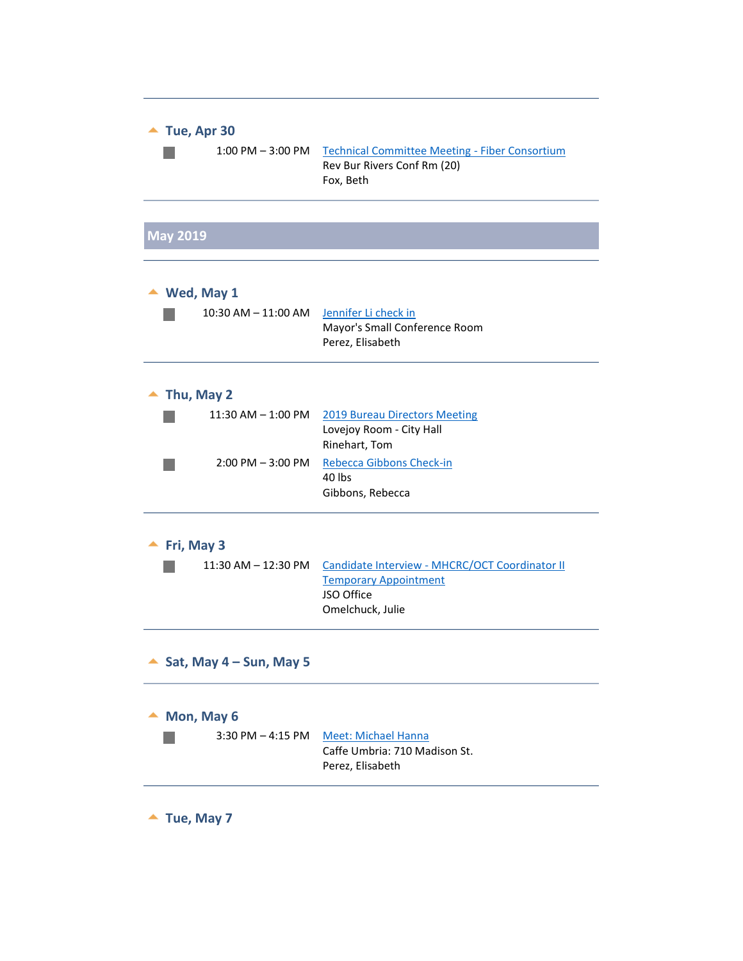<span id="page-4-7"></span><span id="page-4-6"></span><span id="page-4-5"></span><span id="page-4-4"></span><span id="page-4-3"></span><span id="page-4-2"></span><span id="page-4-1"></span><span id="page-4-0"></span>

| Tue, Apr 30<br>$1:00$ PM $-3:00$ PM | <b>Technical Committee Meeting - Fiber Consortium</b><br>Rev Bur Rivers Conf Rm (20)<br>Fox, Beth                |  |
|-------------------------------------|------------------------------------------------------------------------------------------------------------------|--|
| <b>May 2019</b>                     |                                                                                                                  |  |
|                                     |                                                                                                                  |  |
| Wed, May 1                          |                                                                                                                  |  |
| 10:30 AM – 11:00 AM                 | Jennifer Li check in<br>Mayor's Small Conference Room<br>Perez, Elisabeth                                        |  |
| Thu, May 2                          |                                                                                                                  |  |
| $11:30$ AM $-1:00$ PM               | <b>2019 Bureau Directors Meeting</b><br>Lovejoy Room - City Hall<br>Rinehart, Tom                                |  |
| $2:00$ PM $-3:00$ PM                | Rebecca Gibbons Check-in<br>40 lbs<br>Gibbons, Rebecca                                                           |  |
| Fri, May 3                          |                                                                                                                  |  |
| 11:30 AM – 12:30 PM                 | Candidate Interview - MHCRC/OCT Coordinator II<br><b>Temporary Appointment</b><br>JSO Office<br>Omelchuck, Julie |  |
| Sat, May $4 - Sun$ , May 5          |                                                                                                                  |  |
| Mon, May 6                          |                                                                                                                  |  |
| $3:30$ PM $-$ 4:15 PM               | <b>Meet: Michael Hanna</b><br>Caffe Umbria: 710 Madison St.<br>Perez, Elisabeth                                  |  |
| Tue, May 7                          |                                                                                                                  |  |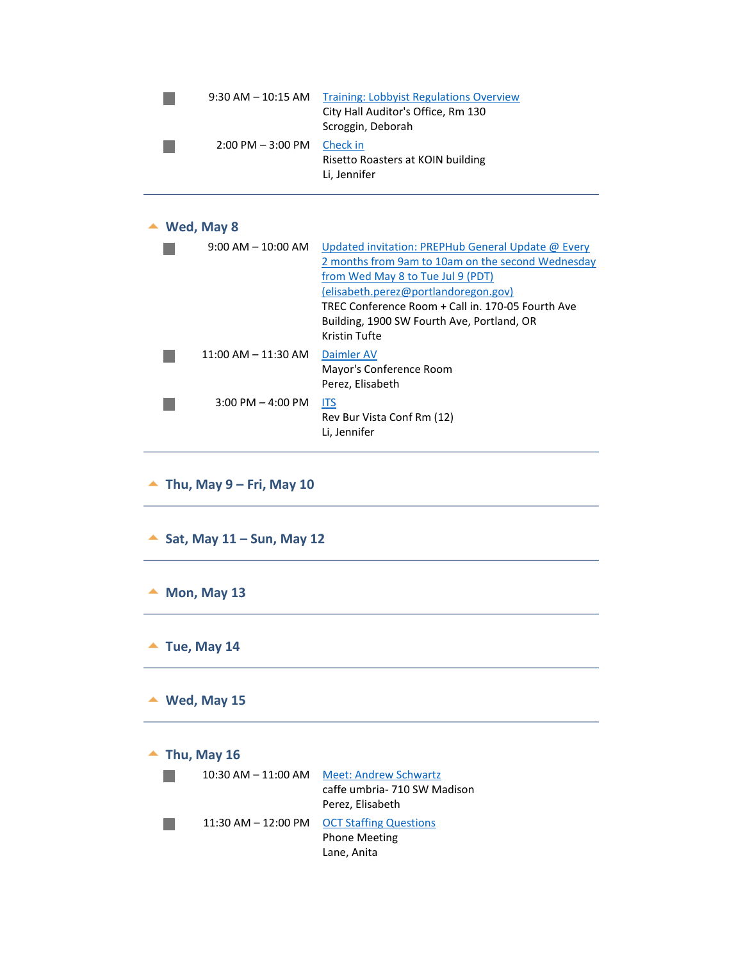| $9:30$ AM $-10:15$ AM | <b>Training: Lobbyist Regulations Overview</b><br>City Hall Auditor's Office, Rm 130 |
|-----------------------|--------------------------------------------------------------------------------------|
| $2:00$ PM $-3:00$ PM  | Scroggin, Deborah<br>Check in<br>Risetto Roasters at KOIN building<br>Li, Jennifer   |

# **Wed, May 8**

<span id="page-5-0"></span>

| $9:00$ AM $-$ 10:00 AM                    | Updated invitation: PREPHub General Update @ Every<br>2 months from 9am to 10am on the second Wednesday<br>from Wed May 8 to Tue Jul 9 (PDT)<br>(elisabeth.perez@portlandoregon.gov)<br>TREC Conference Room + Call in, 170-05 Fourth Ave<br>Building, 1900 SW Fourth Ave, Portland, OR<br>Kristin Tufte |
|-------------------------------------------|----------------------------------------------------------------------------------------------------------------------------------------------------------------------------------------------------------------------------------------------------------------------------------------------------------|
| $11:00 \, \text{AM} - 11:30 \, \text{AM}$ | Daimler AV<br>Mayor's Conference Room<br>Perez, Elisabeth                                                                                                                                                                                                                                                |
| $3:00$ PM $-$ 4:00 PM                     | <b>ITS</b><br>Rev Bur Vista Conf Rm (12)<br>Li, Jennifer                                                                                                                                                                                                                                                 |

- <span id="page-5-2"></span><span id="page-5-1"></span>**Thu, May 9 – Fri, May 10**
- <span id="page-5-4"></span><span id="page-5-3"></span>**Sat, May 11 – Sun, May 12**
- <span id="page-5-5"></span> $M$  Mon, May 13
- <span id="page-5-6"></span> $\blacktriangle$  Tue, May 14
- <span id="page-5-7"></span> $\triangle$  Wed, May 15

 $\blacktriangle$  Thu, May 16

<span id="page-5-8"></span>

| $10:30$ AM $- 11:00$ AM | <b>Meet: Andrew Schwartz</b><br>caffe umbria- 710 SW Madison<br>Perez, Elisabeth |
|-------------------------|----------------------------------------------------------------------------------|
| 11:30 AM - 12:00 PM     | <b>OCT Staffing Questions</b><br><b>Phone Meeting</b><br>Lane, Anita             |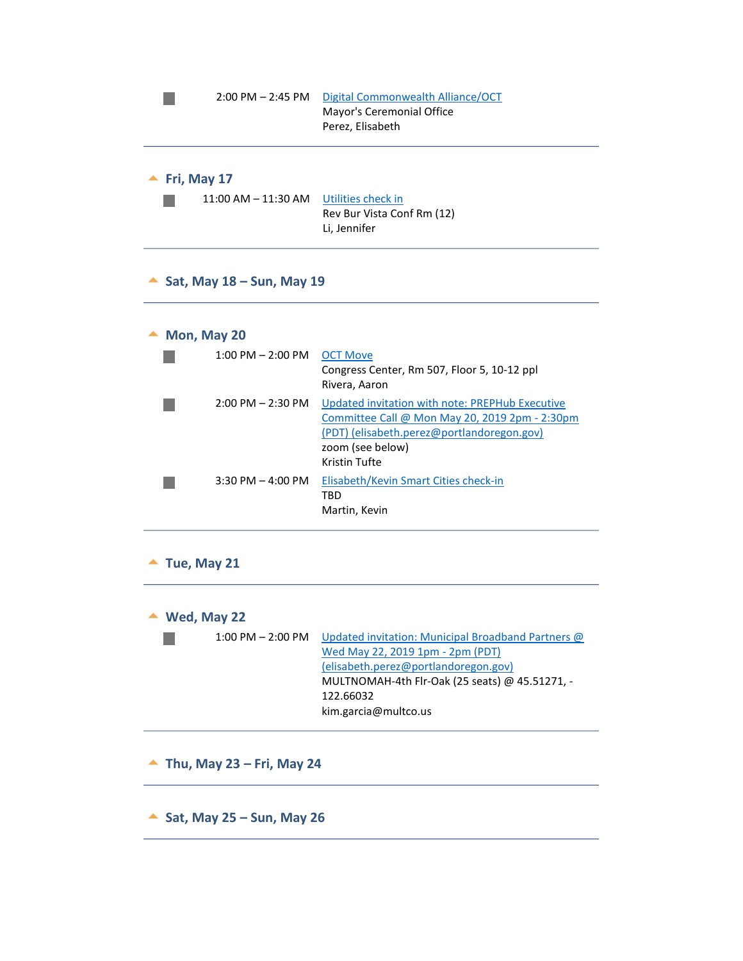<span id="page-6-0"></span>

| $2:00$ PM $- 2:45$ PM                  | Digital Commonwealth Alliance/OCT<br>Mayor's Ceremonial Office<br>Perez, Elisabeth |
|----------------------------------------|------------------------------------------------------------------------------------|
| Fri, May 17<br>$11:00$ AM $- 11:30$ AM | Utilities check in<br>Rev Bur Vista Conf Rm (12)<br>Li, Jennifer                   |

<span id="page-6-2"></span><span id="page-6-1"></span>**Sat, May 18 – Sun, May 19** 

#### ▲ Mon, May 20

<span id="page-6-3"></span>

| $1:00$ PM $- 2:00$ PM | <b>OCT Move</b><br>Congress Center, Rm 507, Floor 5, 10-12 ppl<br>Rivera, Aaron                                                                                                      |
|-----------------------|--------------------------------------------------------------------------------------------------------------------------------------------------------------------------------------|
| $2:00$ PM $- 2:30$ PM | Updated invitation with note: PREPHub Executive<br>Committee Call @ Mon May 20, 2019 2pm - 2:30pm<br>(PDT) (elisabeth.perez@portlandoregon.gov)<br>zoom (see below)<br>Kristin Tufte |
| $3:30$ PM $-4:00$ PM  | Elisabeth/Kevin Smart Cities check-in<br>TBD<br>Martin, Kevin                                                                                                                        |

<span id="page-6-4"></span> $\blacktriangle$  Tue, May 21

|  | Wed, May 22 |  |
|--|-------------|--|
|--|-------------|--|

<span id="page-6-5"></span>

| $1:00$ PM $- 2:00$ PM | Updated invitation: Municipal Broadband Partners @ |
|-----------------------|----------------------------------------------------|
|                       | Wed May 22, 2019 1pm - 2pm (PDT)                   |
|                       | (elisabeth.perez@portlandoregon.gov)               |
|                       | MULTNOMAH-4th Flr-Oak (25 seats) @ 45.51271, -     |
|                       | 122.66032                                          |
|                       | kim.garcia@multco.us                               |
|                       |                                                    |

- <span id="page-6-7"></span><span id="page-6-6"></span>**Thu, May 23 – Fri, May 24**
- <span id="page-6-9"></span><span id="page-6-8"></span>**Sat, May 25 – Sun, May 26**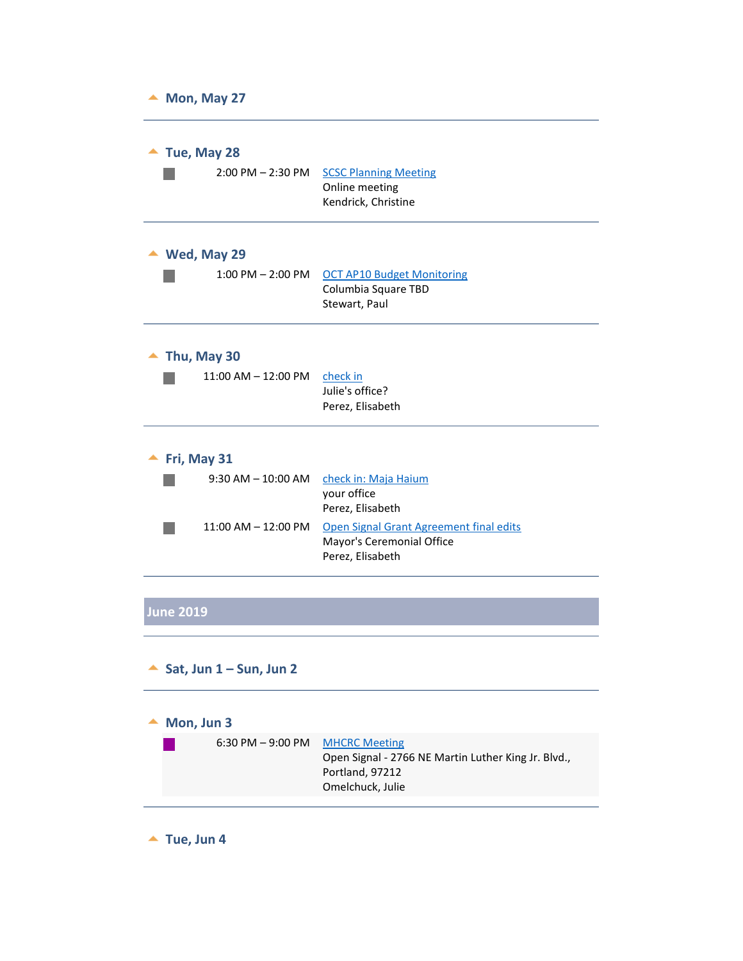<span id="page-7-2"></span><span id="page-7-1"></span><span id="page-7-0"></span>

| Mon, May 27 |                         |                                                                                          |
|-------------|-------------------------|------------------------------------------------------------------------------------------|
|             | Tue, May 28             |                                                                                          |
|             | $2:00$ PM $- 2:30$ PM   | <b>SCSC Planning Meeting</b><br>Online meeting<br>Kendrick, Christine                    |
|             | Wed, May 29             |                                                                                          |
|             | $1:00$ PM $- 2:00$ PM   | <b>OCT AP10 Budget Monitoring</b><br>Columbia Square TBD<br>Stewart, Paul                |
|             | Thu, May 30             |                                                                                          |
|             | $11:00$ AM $- 12:00$ PM | check in<br>Julie's office?<br>Perez, Elisabeth                                          |
|             | Fri, May 31             |                                                                                          |
|             | $9:30$ AM $-$ 10:00 AM  | check in: Maja Haium<br>your office<br>Perez, Elisabeth                                  |
|             | $11:00$ AM $- 12:00$ PM | Open Signal Grant Agreement final edits<br>Mayor's Ceremonial Office<br>Perez, Elisabeth |
|             |                         |                                                                                          |

# <span id="page-7-4"></span><span id="page-7-3"></span>**June 2019**

#### <span id="page-7-6"></span><span id="page-7-5"></span>**Sat, Jun 1 – Sun, Jun 2**

<span id="page-7-7"></span>

| $\triangle$ Mon, Jun 3                            |                                                     |
|---------------------------------------------------|-----------------------------------------------------|
| $6:30 \text{ PM} - 9:00 \text{ PM}$ MHCRC Meeting |                                                     |
|                                                   | Open Signal - 2766 NE Martin Luther King Jr. Blvd., |
|                                                   | Portland, 97212                                     |
|                                                   | Omelchuck, Julie                                    |
|                                                   |                                                     |

<span id="page-7-8"></span> $\blacktriangle$  Tue, Jun 4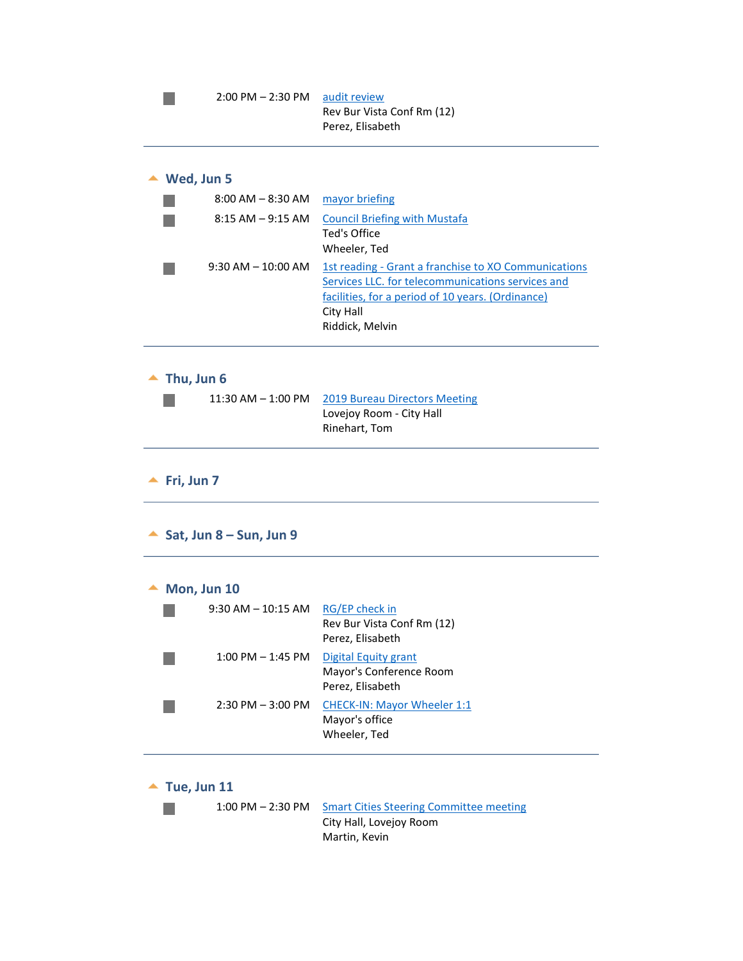<span id="page-8-1"></span><span id="page-8-0"></span>

|            | $2:00$ PM $- 2:30$ PM             | audit review<br>Rev Bur Vista Conf Rm (12)<br>Perez, Elisabeth                                                                                                                                 |
|------------|-----------------------------------|------------------------------------------------------------------------------------------------------------------------------------------------------------------------------------------------|
|            | Wed, Jun 5                        |                                                                                                                                                                                                |
|            | $8:00$ AM $-8:30$ AM              | mayor briefing                                                                                                                                                                                 |
|            | $8:15$ AM $-9:15$ AM              | <b>Council Briefing with Mustafa</b><br>Ted's Office<br>Wheeler, Ted                                                                                                                           |
|            | $9:30$ AM $-10:00$ AM             | 1st reading - Grant a franchise to XO Communications<br>Services LLC. for telecommunications services and<br>facilities, for a period of 10 years. (Ordinance)<br>City Hall<br>Riddick, Melvin |
|            |                                   |                                                                                                                                                                                                |
|            | Thu, Jun 6                        |                                                                                                                                                                                                |
|            | 11:30 AM - 1:00 PM                | <b>2019 Bureau Directors Meeting</b><br>Lovejoy Room - City Hall<br>Rinehart, Tom                                                                                                              |
| Fri, Jun 7 |                                   |                                                                                                                                                                                                |
|            | Sat, Jun 8 – Sun, Jun 9           |                                                                                                                                                                                                |
|            |                                   |                                                                                                                                                                                                |
|            | Mon, Jun 10<br>9:30 AM – 10:15 AM | <b>RG/EP check in</b><br>Rev Bur Vista Conf Rm (12)<br>Perez, Elisabeth                                                                                                                        |
|            | $1:00$ PM $-1:45$ PM              | <b>Digital Equity grant</b><br>Mayor's Conference Room<br>Perez, Elisabeth                                                                                                                     |

<span id="page-8-6"></span><span id="page-8-5"></span><span id="page-8-4"></span><span id="page-8-3"></span><span id="page-8-2"></span>1:00 PM - 2:30 PM Smart Cities Steering Committee meeting City Hall, Lovejoy Room Martin, Kevin

 $\mathbb{R}^n$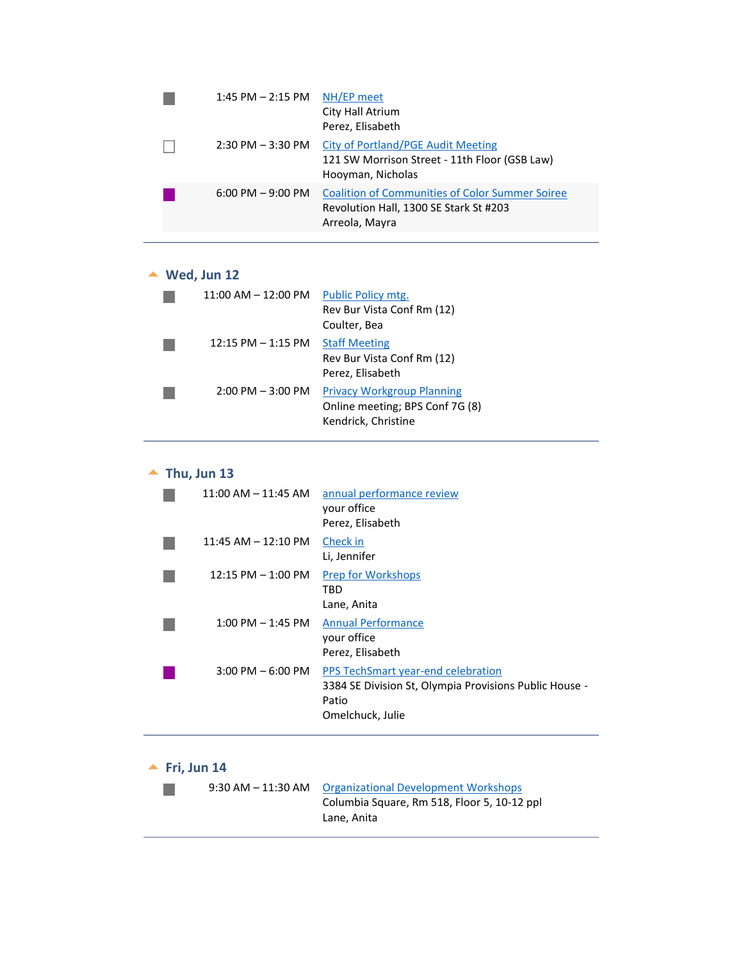| $1:45$ PM $- 2:15$ PM | NH/EP meet<br>City Hall Atrium<br>Perez, Elisabeth                                                                 |
|-----------------------|--------------------------------------------------------------------------------------------------------------------|
| $2:30$ PM $-3:30$ PM  | City of Portland/PGE Audit Meeting<br>121 SW Morrison Street - 11th Floor (GSB Law)<br>Hooyman, Nicholas           |
| $6:00$ PM $-9:00$ PM  | <b>Coalition of Communities of Color Summer Soiree</b><br>Revolution Hall, 1300 SE Stark St #203<br>Arreola, Mayra |

### **Wed, Jun 12**

<span id="page-9-0"></span>

| $11:00$ AM $-12:00$ PM | Public Policy mtg.<br>Rev Bur Vista Conf Rm (12)<br>Coulter, Bea                            |
|------------------------|---------------------------------------------------------------------------------------------|
| $12:15$ PM $-1:15$ PM  | <b>Staff Meeting</b><br>Rev Bur Vista Conf Rm (12)<br>Perez, Elisabeth                      |
| $2:00$ PM $-3:00$ PM   | <b>Privacy Workgroup Planning</b><br>Online meeting; BPS Conf 7G (8)<br>Kendrick, Christine |

# $\blacktriangle$  Thu, Jun 13

<span id="page-9-1"></span>

| $11:00$ AM $- 11:45$ AM | annual performance review<br>your office<br>Perez, Elisabeth                                                              |
|-------------------------|---------------------------------------------------------------------------------------------------------------------------|
| $11:45$ AM $- 12:10$ PM | Check in<br>Li, Jennifer                                                                                                  |
| $12:15$ PM $-1:00$ PM   | <b>Prep for Workshops</b><br>TBD<br>Lane, Anita                                                                           |
| $1:00$ PM $-1:45$ PM    | <b>Annual Performance</b><br>your office<br>Perez, Elisabeth                                                              |
| $3:00$ PM $-6:00$ PM    | PPS TechSmart year-end celebration<br>3384 SE Division St, Olympia Provisions Public House -<br>Patio<br>Omelchuck, Julie |

# **Fri, Jun 14**

<span id="page-9-2"></span>

|  | 9:30 AM – 11:30 AM – Organizational Development Workshops |
|--|-----------------------------------------------------------|
|  | Columbia Square, Rm 518, Floor 5, 10-12 ppl               |
|  | Lane. Anita                                               |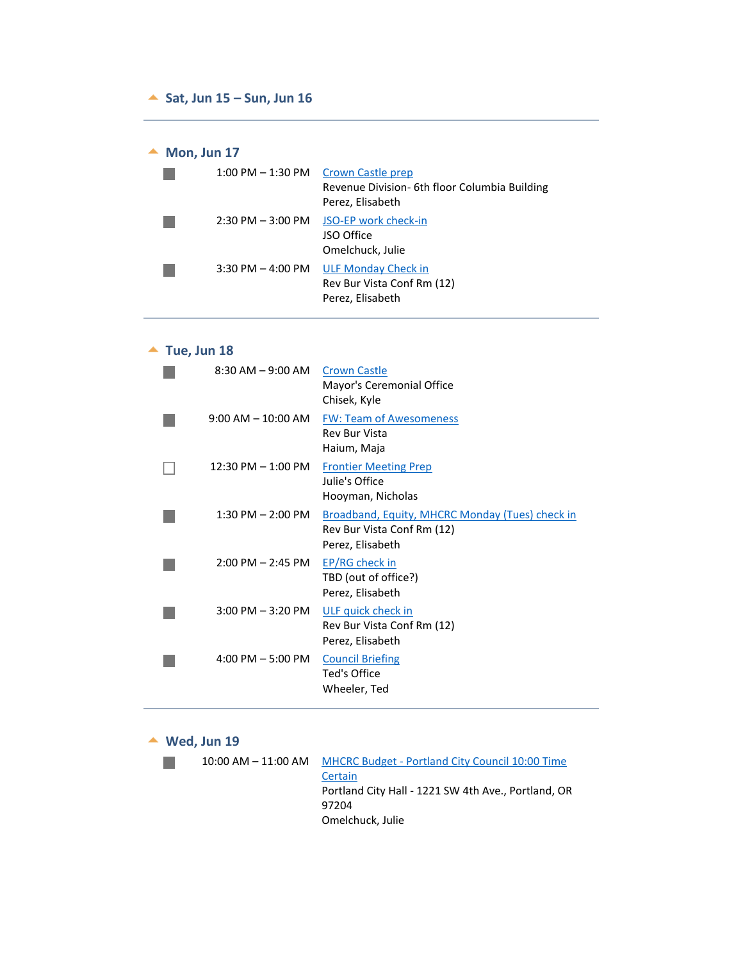#### <span id="page-10-1"></span><span id="page-10-0"></span>**Sat, Jun 15 – Sun, Jun 16**

#### ▲ Mon, Jun 17

<span id="page-10-2"></span>

| $1:00$ PM $-$ 1:30 PM | <b>Crown Castle prep</b><br>Revenue Division- 6th floor Columbia Building<br>Perez, Elisabeth |
|-----------------------|-----------------------------------------------------------------------------------------------|
| $2:30$ PM $-3:00$ PM  | JSO-EP work check-in<br>JSO Office<br>Omelchuck, Julie                                        |
| $3:30$ PM $-$ 4:00 PM | <b>ULF Monday Check in</b><br>Rev Bur Vista Conf Rm (12)<br>Perez, Elisabeth                  |

# $\triangle$  Tue, Jun 18

<span id="page-10-3"></span>

| $8:30$ AM $-9:00$ AM   | <b>Crown Castle</b><br>Mayor's Ceremonial Office<br>Chisek, Kyle                                         |
|------------------------|----------------------------------------------------------------------------------------------------------|
| $9:00$ AM $- 10:00$ AM | <b>FW: Team of Awesomeness</b><br><b>Rev Bur Vista</b><br>Haium, Maja                                    |
| $12:30$ PM $- 1:00$ PM | <b>Frontier Meeting Prep</b><br>Julie's Office<br>Hooyman, Nicholas                                      |
| $1:30$ PM $- 2:00$ PM  | <b>Broadband, Equity, MHCRC Monday (Tues) check in</b><br>Rev Bur Vista Conf Rm (12)<br>Perez, Elisabeth |
| $2:00$ PM $- 2:45$ PM  | <b>EP/RG check in</b><br>TBD (out of office?)<br>Perez, Elisabeth                                        |
| $3:00$ PM $-3:20$ PM   | ULF quick check in<br>Rev Bur Vista Conf Rm (12)<br>Perez, Elisabeth                                     |
| $4:00$ PM $-5:00$ PM   | <b>Council Briefing</b><br>Ted's Office<br>Wheeler, Ted                                                  |
|                        |                                                                                                          |

#### **Wed, Jun 19**

<span id="page-10-4"></span>

| $10:00$ AM $ 11:00$ AM | <b>MHCRC Budget - Portland City Council 10:00 Time</b> |
|------------------------|--------------------------------------------------------|
|                        | Certain                                                |
|                        | Portland City Hall - 1221 SW 4th Ave., Portland, OR    |
|                        | 97204                                                  |
|                        | Omelchuck, Julie                                       |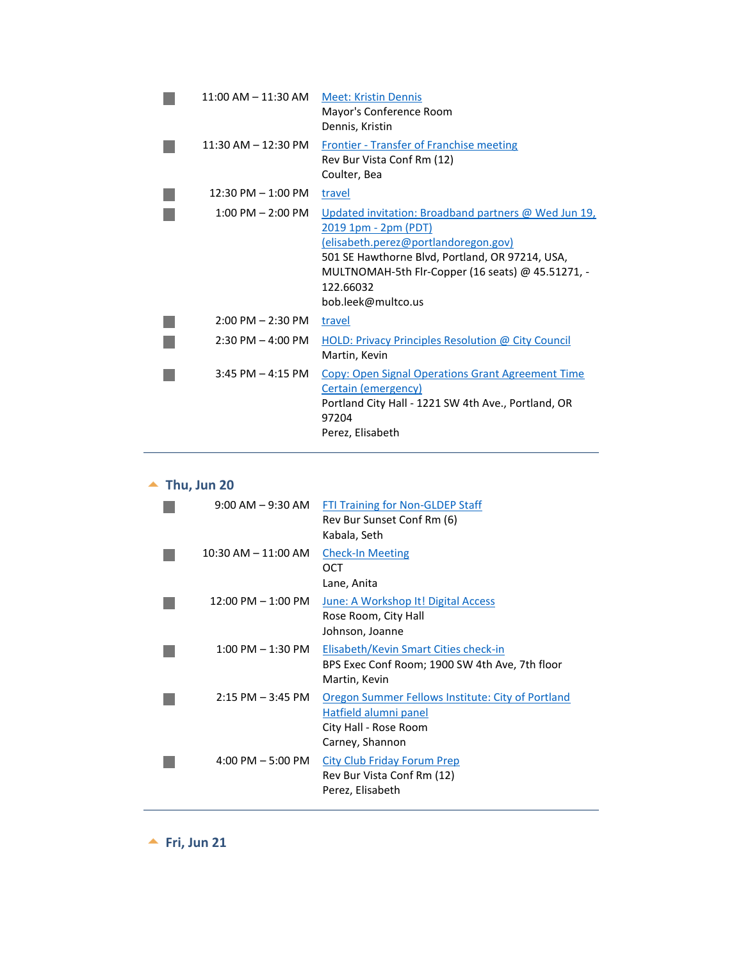| 11:00 AM – 11:30 AM     | <b>Meet: Kristin Dennis</b><br>Mayor's Conference Room<br>Dennis, Kristin                                                                                                                                                                                       |
|-------------------------|-----------------------------------------------------------------------------------------------------------------------------------------------------------------------------------------------------------------------------------------------------------------|
| $11:30$ AM $- 12:30$ PM | <b>Frontier - Transfer of Franchise meeting</b><br>Rev Bur Vista Conf Rm (12)<br>Coulter, Bea                                                                                                                                                                   |
| $12:30$ PM $-1:00$ PM   | travel                                                                                                                                                                                                                                                          |
| $1:00$ PM $- 2:00$ PM   | Updated invitation: Broadband partners @ Wed Jun 19,<br>2019 1pm - 2pm (PDT)<br>(elisabeth.perez@portlandoregon.gov)<br>501 SE Hawthorne Blvd, Portland, OR 97214, USA,<br>MULTNOMAH-5th Flr-Copper (16 seats) @ 45.51271, -<br>122.66032<br>bob.leek@multco.us |
| $2:00$ PM $- 2:30$ PM   | travel                                                                                                                                                                                                                                                          |
| $2:30$ PM $-$ 4:00 PM   | <b>HOLD: Privacy Principles Resolution @ City Council</b><br>Martin, Kevin                                                                                                                                                                                      |
| $3:45$ PM $-4:15$ PM    | <b>Copy: Open Signal Operations Grant Agreement Time</b><br>Certain (emergency)<br>Portland City Hall - 1221 SW 4th Ave., Portland, OR<br>97204<br>Perez, Elisabeth                                                                                             |

# **Thu, Jun 20**

<span id="page-11-0"></span>

| $9:00$ AM $-9:30$ AM                 | FTI Training for Non-GLDEP Staff<br>Rev Bur Sunset Conf Rm (6)<br>Kabala, Seth                                         |
|--------------------------------------|------------------------------------------------------------------------------------------------------------------------|
| $10:30$ AM $- 11:00$ AM              | <b>Check-In Meeting</b><br>OCT<br>Lane, Anita                                                                          |
| $12:00 \text{ PM} - 1:00 \text{ PM}$ | June: A Workshop It! Digital Access<br>Rose Room, City Hall<br>Johnson, Joanne                                         |
| $1:00 \text{ PM} - 1:30 \text{ PM}$  | Elisabeth/Kevin Smart Cities check-in<br>BPS Exec Conf Room; 1900 SW 4th Ave, 7th floor<br>Martin, Kevin               |
| $2:15$ PM $-3:45$ PM                 | Oregon Summer Fellows Institute: City of Portland<br>Hatfield alumni panel<br>City Hall - Rose Room<br>Carney, Shannon |
| $4:00$ PM $-5:00$ PM                 | <b>City Club Friday Forum Prep</b><br>Rev Bur Vista Conf Rm (12)<br>Perez, Elisabeth                                   |

<span id="page-11-1"></span>**Fri, Jun 21**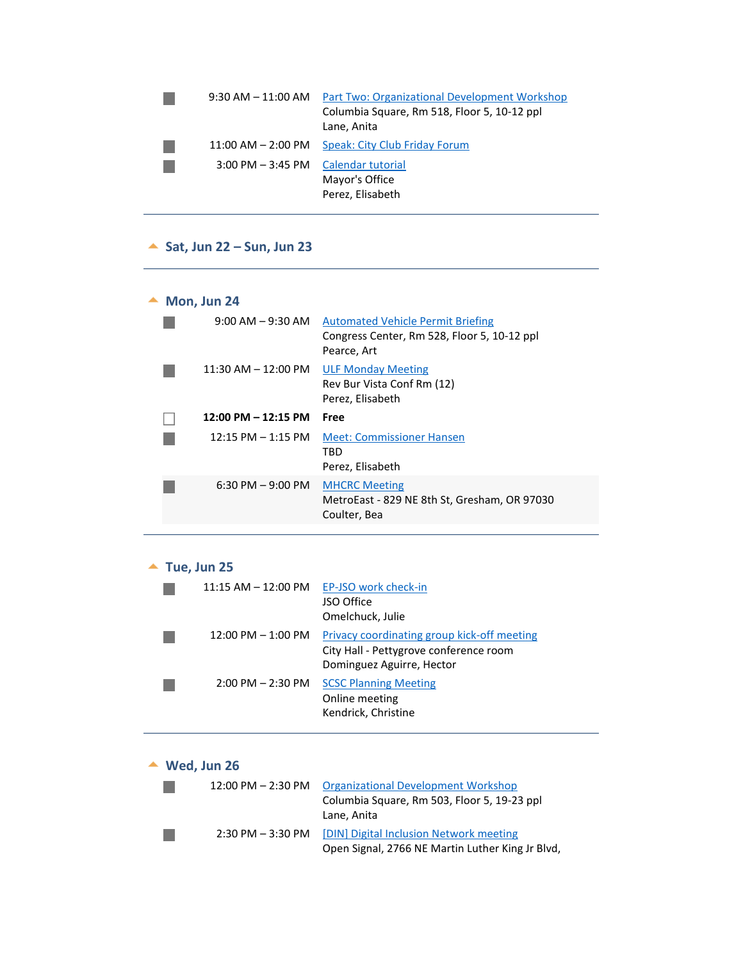| $9:30$ AM $-11:00$ AM  | Part Two: Organizational Development Workshop<br>Columbia Square, Rm 518, Floor 5, 10-12 ppl<br>Lane, Anita |
|------------------------|-------------------------------------------------------------------------------------------------------------|
| $11:00$ AM $- 2:00$ PM | Speak: City Club Friday Forum                                                                               |
| $3:00$ PM $-3:45$ PM   | Calendar tutorial<br>Mayor's Office<br>Perez, Elisabeth                                                     |

# <span id="page-12-1"></span><span id="page-12-0"></span>**Sat, Jun 22 – Sun, Jun 23**

# **Mon, Jun 24**

<span id="page-12-2"></span>

| $9:00$ AM $-9:30$ AM                 | <b>Automated Vehicle Permit Briefing</b><br>Congress Center, Rm 528, Floor 5, 10-12 ppl<br>Pearce, Art |
|--------------------------------------|--------------------------------------------------------------------------------------------------------|
| $11:30$ AM $-12:00$ PM               | <b>ULF Monday Meeting</b><br>Rev Bur Vista Conf Rm (12)<br>Perez, Elisabeth                            |
| $12:00$ PM $- 12:15$ PM              | Free                                                                                                   |
| $12:15 \text{ PM} - 1:15 \text{ PM}$ | <b>Meet: Commissioner Hansen</b>                                                                       |
|                                      | TRD<br>Perez, Elisabeth                                                                                |
| 6:30 PM $-$ 9:00 PM                  | <b>MHCRC Meeting</b><br>MetroEast - 829 NE 8th St, Gresham, OR 97030<br>Coulter, Bea                   |

#### ▲ Tue, Jun 25

<span id="page-12-3"></span>

| $11:15$ AM $- 12:00$ PM | EP-JSO work check-in<br>JSO Office<br>Omelchuck, Julie                                                             |
|-------------------------|--------------------------------------------------------------------------------------------------------------------|
| $12:00$ PM $-1:00$ PM   | Privacy coordinating group kick-off meeting<br>City Hall - Pettygrove conference room<br>Dominguez Aguirre, Hector |
| $2:00$ PM $- 2:30$ PM   | <b>SCSC Planning Meeting</b><br>Online meeting<br>Kendrick, Christine                                              |

# **Wed, Jun 26**

n.

 $\mathcal{L}_{\mathcal{A}}$ 

<span id="page-12-4"></span>

| $12:00$ PM $- 2:30$ PM | <b>Organizational Development Workshop</b>       |
|------------------------|--------------------------------------------------|
|                        | Columbia Square, Rm 503, Floor 5, 19-23 ppl      |
|                        | Lane, Anita                                      |
| $2:30$ PM $-3:30$ PM   | [DIN] Digital Inclusion Network meeting          |
|                        | Open Signal, 2766 NE Martin Luther King Jr Blvd, |